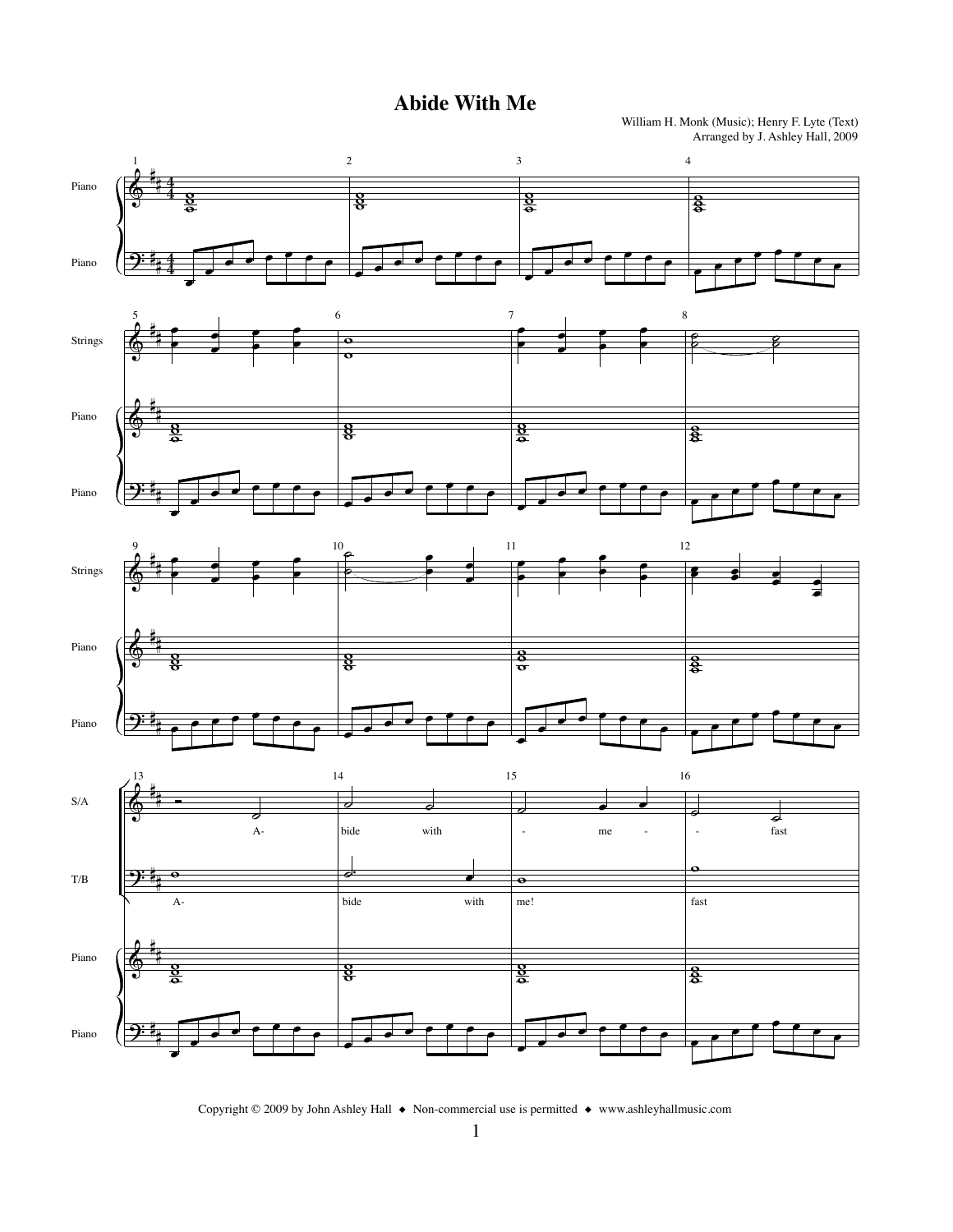**Abide With Me**

William H. Monk (Music); Henry F. Lyte (Text) Arranged by J. Ashley Hall, 2009



Copyright © 2009 by John Ashley Hall ◆ Non-commercial use is permitted ◆ www.ashleyhallmusic.com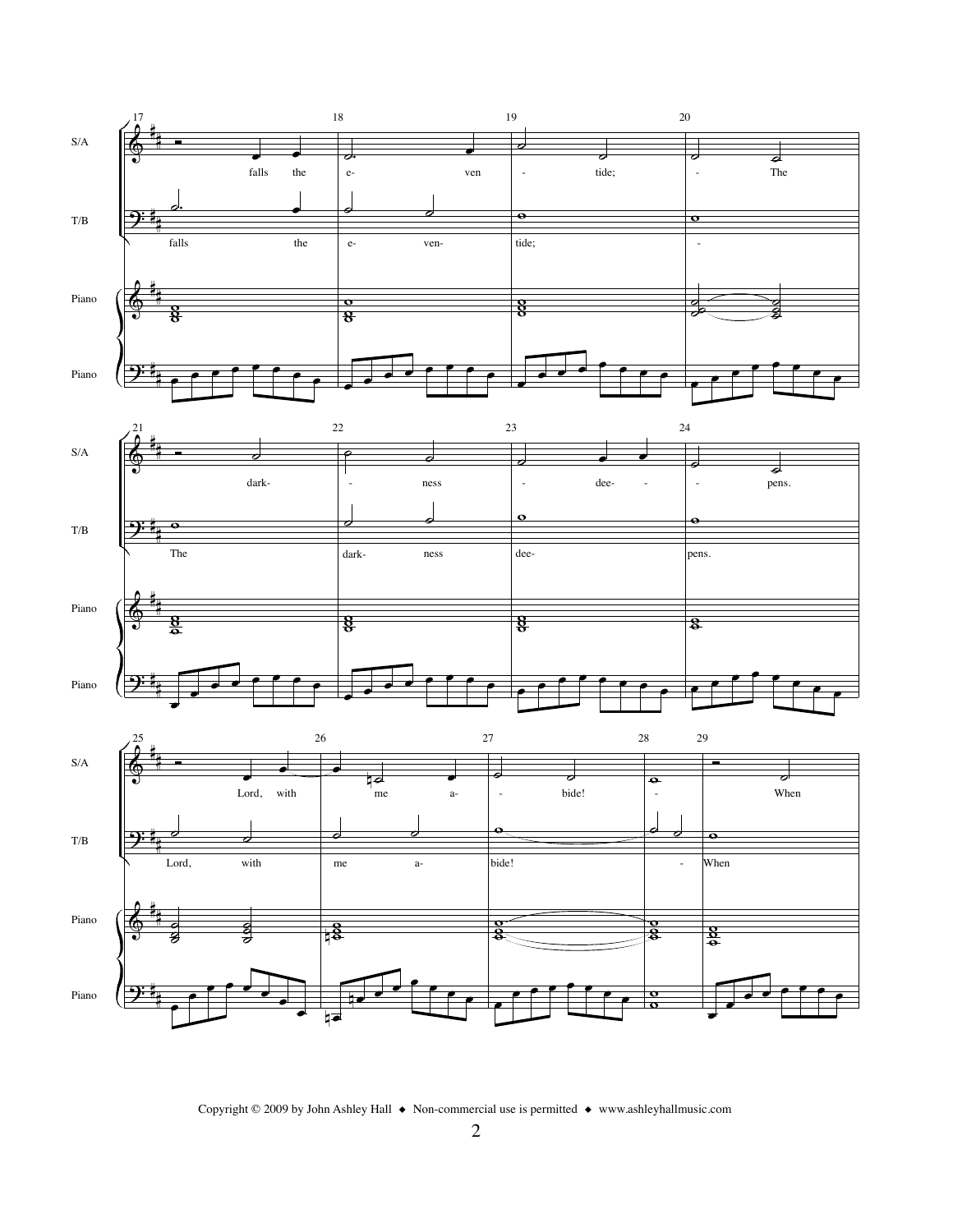

Copyright © 2009 by John Ashley Hall ◆ Non-commercial use is permitted ◆ www.ashleyhallmusic.com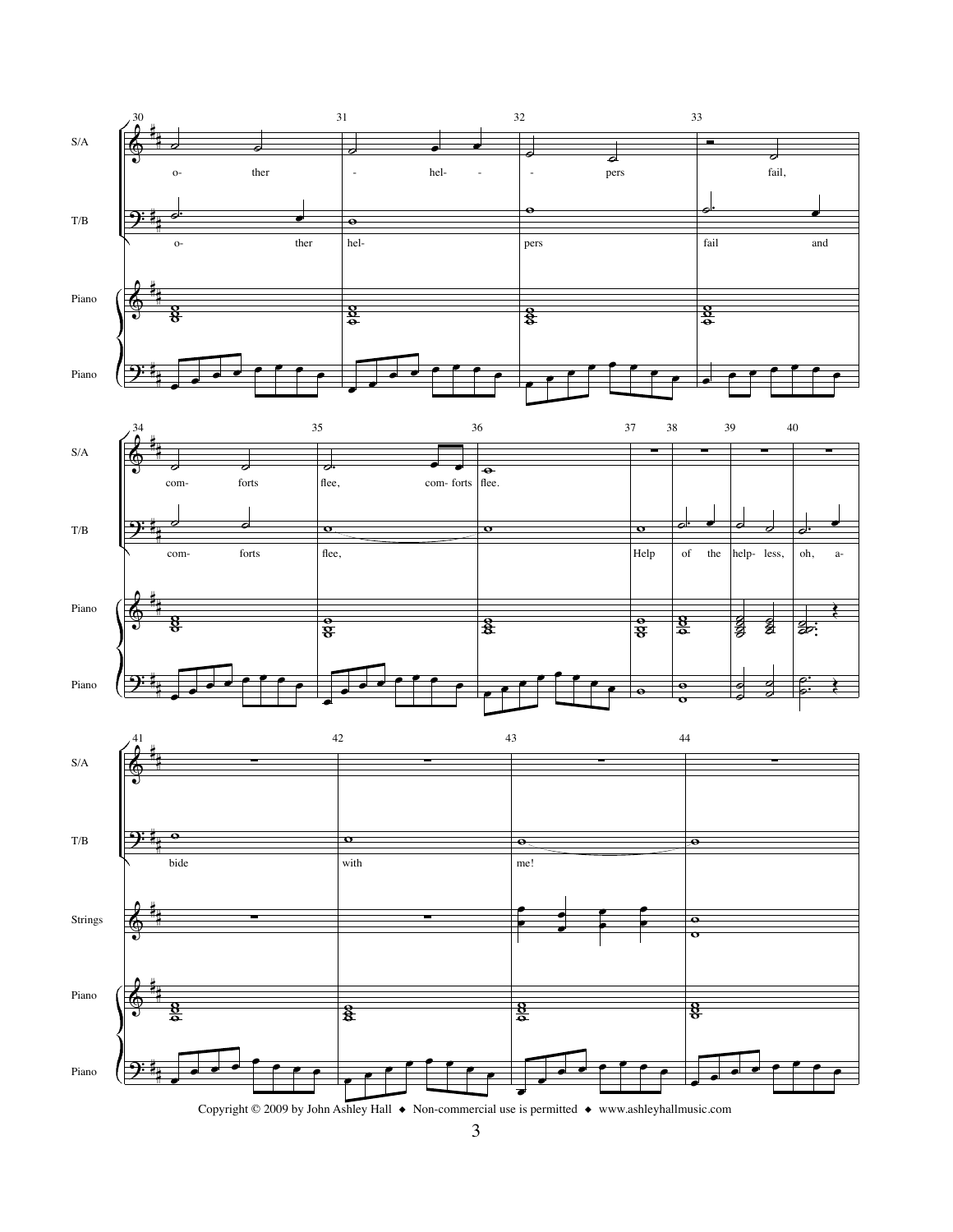



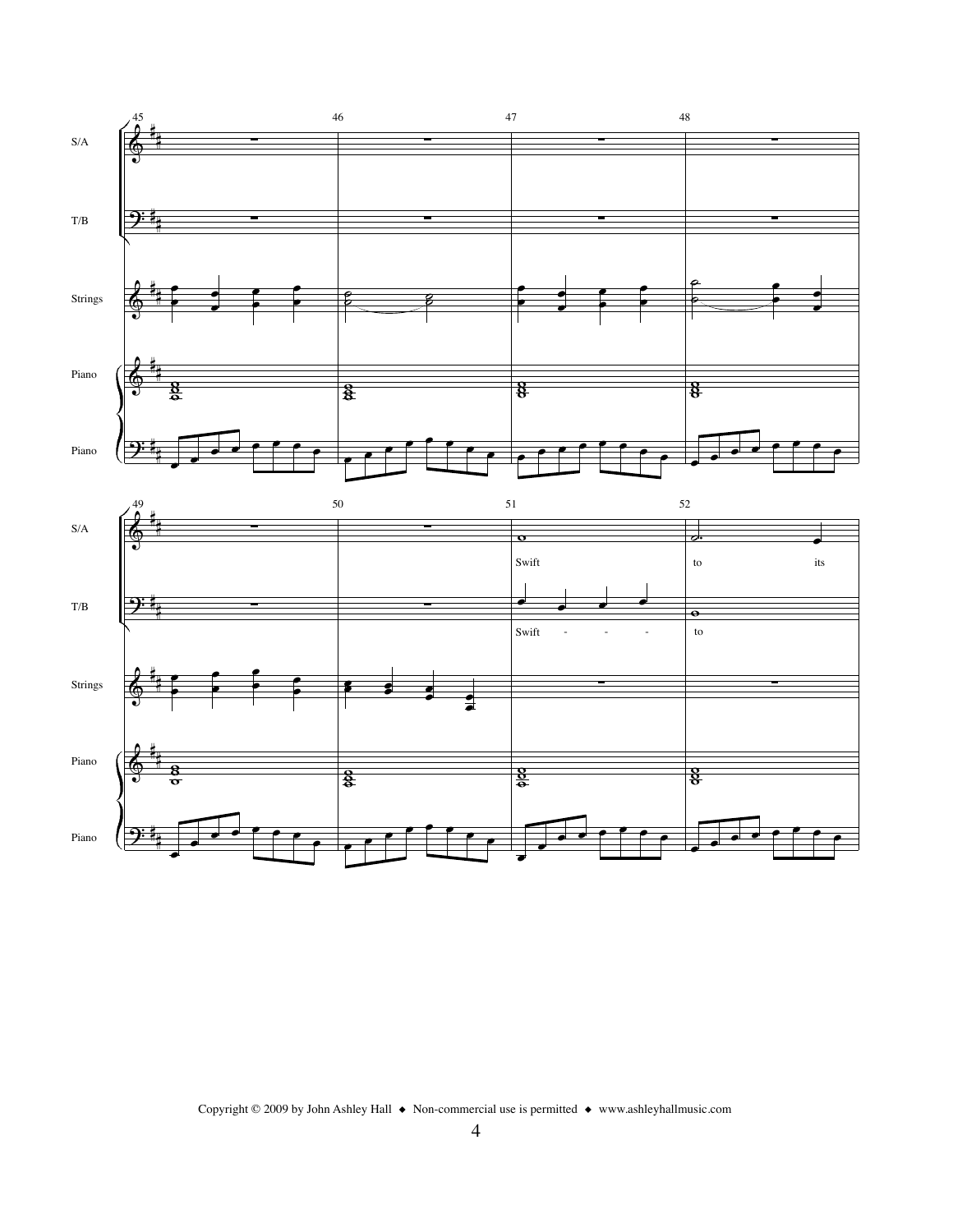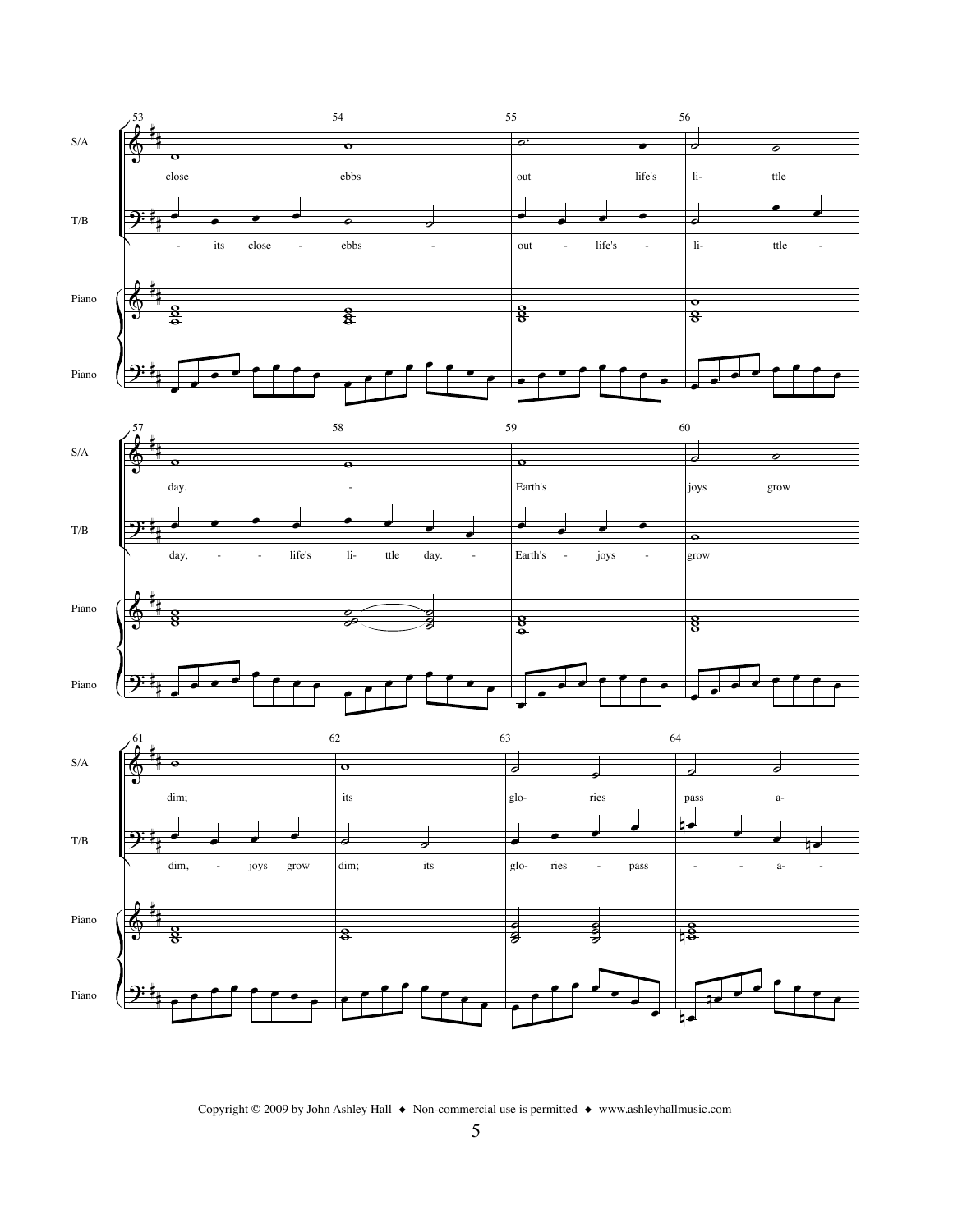

Copyright © 2009 by John Ashley Hall ◆ Non-commercial use is permitted ◆ www.ashleyhallmusic.com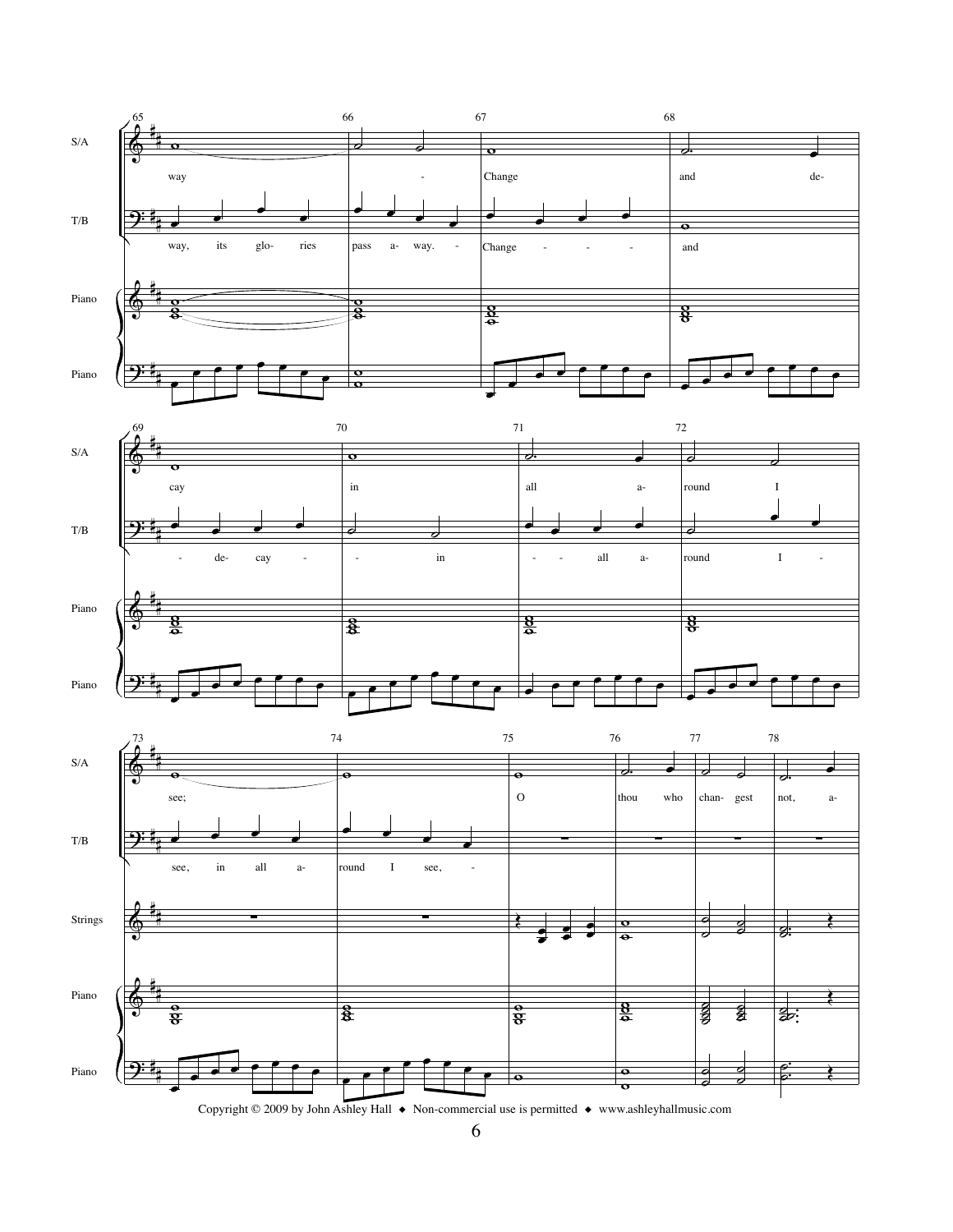

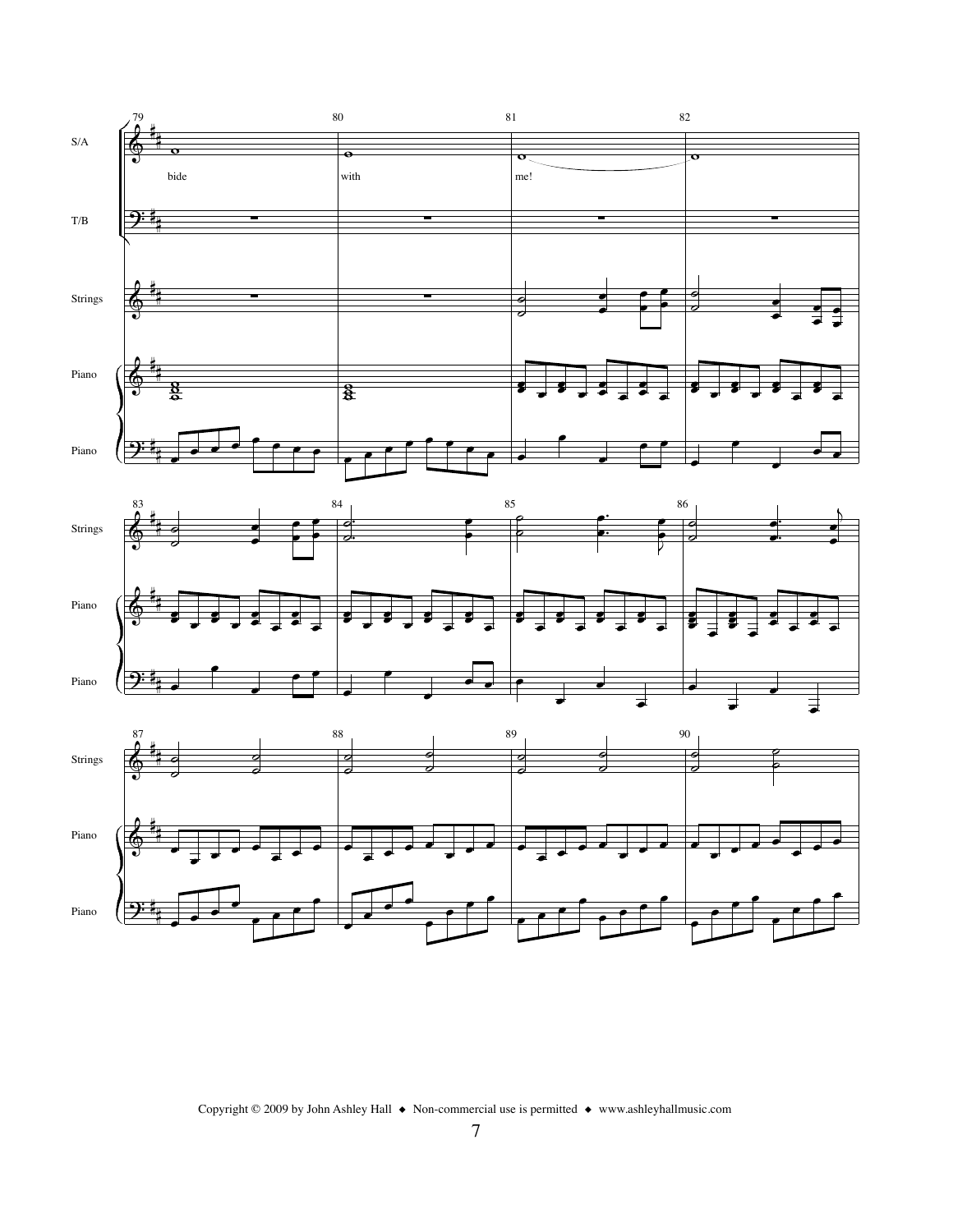

Piano <sup>Q</sup> . . . . . . . .

Copyright © 2009 by John Ashley Hall ◆ Non-commercial use is permitted ◆ www.ashleyhallmusic.com

. . . . .  $\overline{\phantom{a}}$ 

 $\begin{smallmatrix} \cdot & \cdot & \cdot & \cdot \end{smallmatrix}$ 

.  $\cdot$  .  $\cdot$ 

. . . .

 $\overline{\phantom{a}}$ .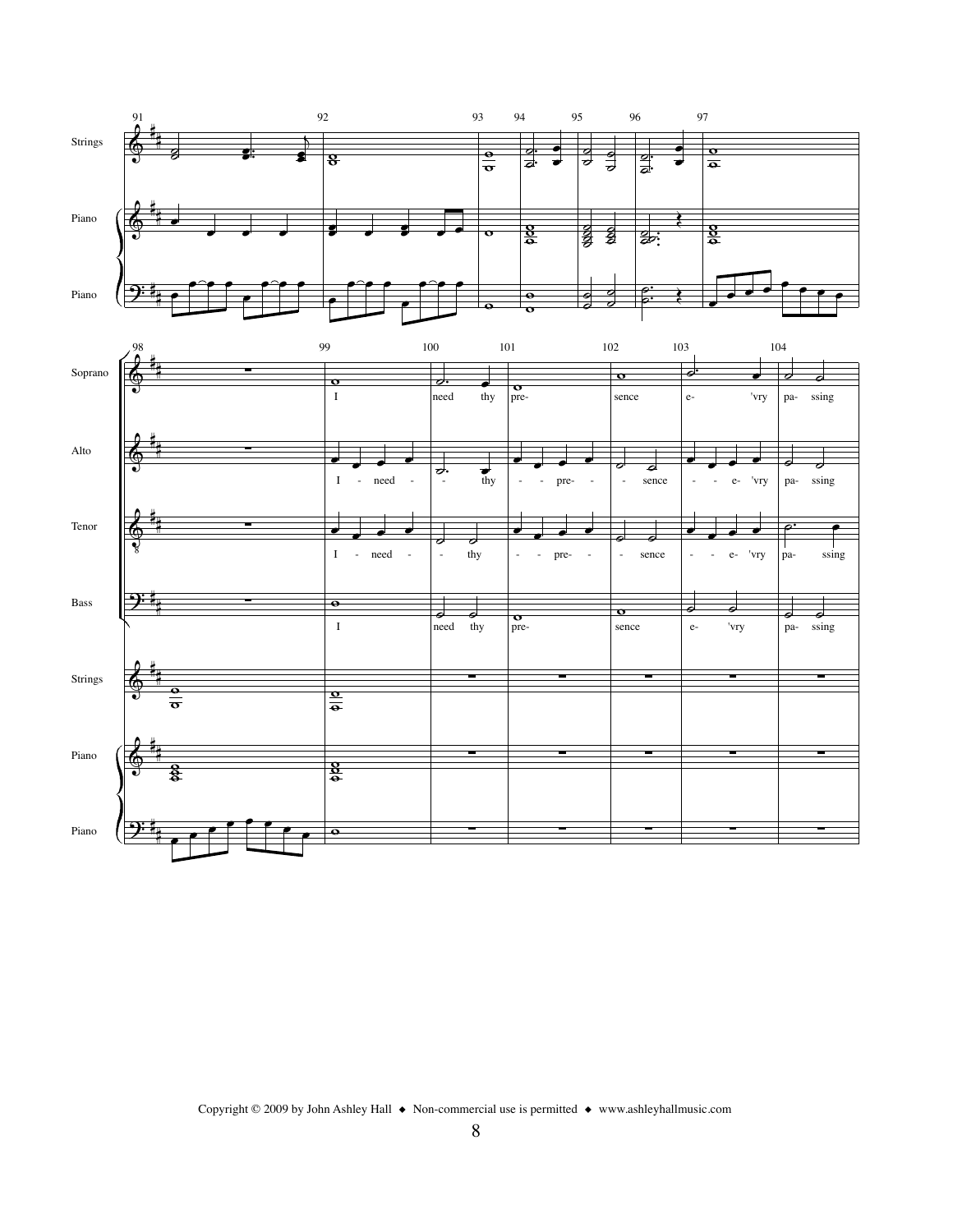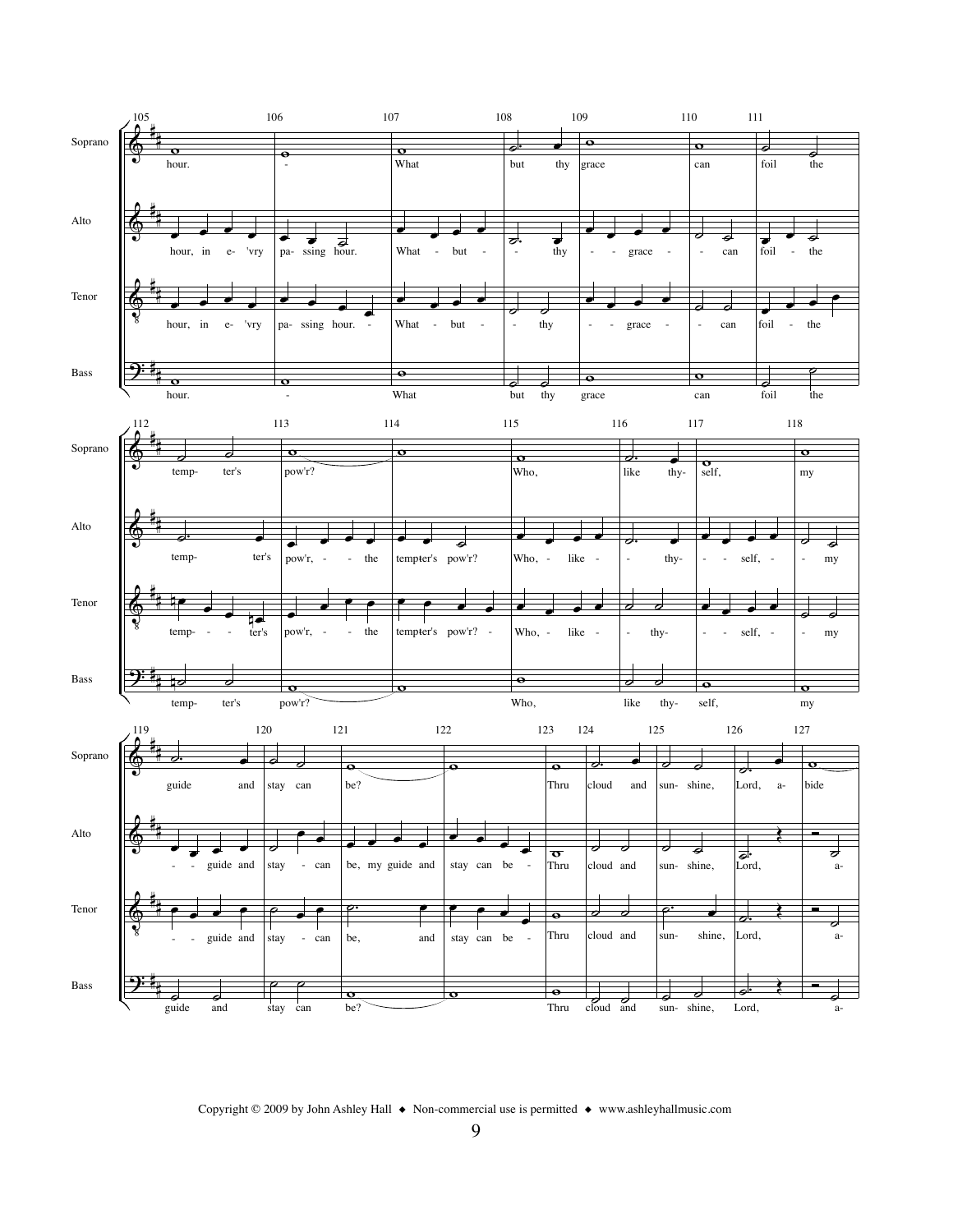

Copyright © 2009 by John Ashley Hall ◆ Non-commercial use is permitted ◆ www.ashleyhallmusic.com